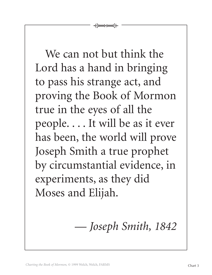We can not but think the Lord has a hand in bringing to pass his strange act, and proving the Book of Mormon true in the eyes of all the people. . . . It will be as it ever has been, the world will prove Joseph Smith a true prophet by circumstantial evidence, in experiments, as they did Moses and Elijah.

 $\overleftarrow{+}$ 

— *Joseph Smith, 1842*